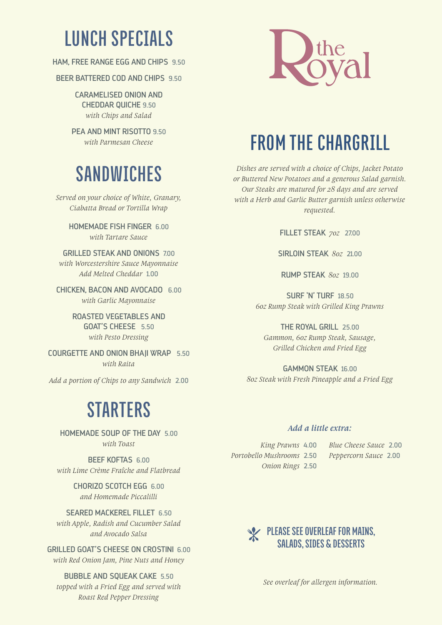# **LUNCH SPECIALS**

HAM, FREE RANGE EGG AND CHIPS 9.50

BEER BATTERED COD AND CHIPS 9.50

CARAMELISED ONION AND CHEDDAR QUICHE 9.50 *with Chips and Salad* 

PFA AND MINT RISOTTO 9.50 *with Parmesan Cheese* 

# **SANDWICHES**

*Served on your choice of White, Granary, Ciabatta Bread or Tortilla Wrap*

> HOMEMADE FISH FINGER 6.00 *with Tartare Sauce*

GRILLED STEAK AND ONIONS 7.00 *with Worcestershire Sauce Mayonnaise Add Melted Cheddar* 1.00

CHICKEN, BACON AND AVOCADO 6.00 *with Garlic Mayonnaise*

> ROASTED VEGETABLES AND GOAT'S CHEESE 5.50 *with Pesto Dressing*

COURGETTE AND ONION BHAJI WRAP 5.50 *with Raita*

*Add a portion of Chips to any Sandwich* 2.00

# **STARTERS**

HOMEMADE SOUP OF THE DAY 5.00 *with Toast* 

BEEF KOFTAS 6.00 *with Lime Crème Fraîche and Flatbread*

> CHORIZO SCOTCH EGG 6.00 *and Homemade Piccalilli*

SEARED MACKEREL FILLET 6.50 *with Apple, Radish and Cucumber Salad and Avocado Salsa*

GRILLED GOAT'S CHEESE ON CROSTINI 6.00 *with Red Onion Jam, Pine Nuts and Honey*

BUBBLE AND SQUEAK CAKE 5.50 *topped with a Fried Egg and served with Roast Red Pepper Dressing*



# **FROM THE CHARGRILL**

*Dishes are served with a choice of Chips, Jacket Potato or Buttered New Potatoes and a generous Salad garnish. Our Steaks are matured for 28 days and are served with a Herb and Garlic Butter garnish unless otherwise requested.*

FILLET STEAK *7oz* 27.00

SIRLOIN STEAK *8oz* 21.00

RUMP STEAK *8oz* 19.00

SURF 'N' TURF 18.50 *6oz Rump Steak with Grilled King Prawns*

THE ROYAL GRILL 25.00 *Gammon, 6oz Rump Steak, Sausage, Grilled Chicken and Fried Egg*

GAMMON STEAK 16.00 *8oz Steak with Fresh Pineapple and a Fried Egg*

#### *Add a little extra:*

*Portobello Mushrooms* 2.50 *Peppercorn Sauce* 2.00 *Onion Rings* 2.50

*King Prawns* 4.00 *Blue Cheese Sauce* 2.00



*See overleaf for allergen information.*